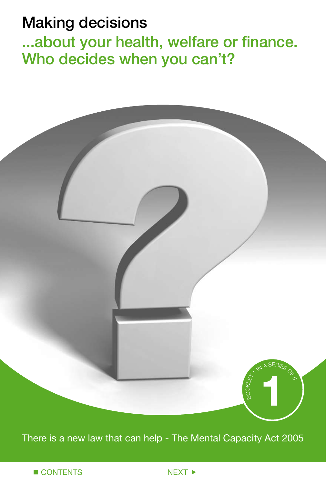# Making decisions

...about your health, welfare or finance. Who decides when you can't?



There is a new law that can help - The Mental Capacity Act 2005

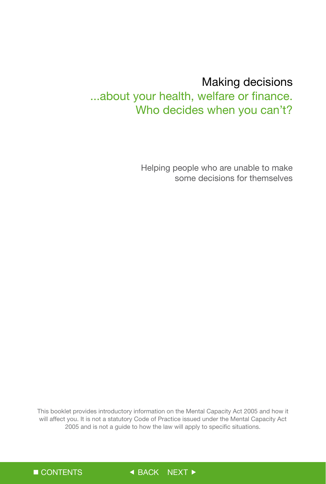# Making decisions

...about your health, welfare or finance. Who decides when you can't?

> Helping people who are unable to make some decisions for themselves

This booklet provides introductory information on the Mental Capacity Act 2005 and how it will affect you. It is not a statutory Code of Practice issued under the Mental Capacity Act 2005 and is not a guide to how the law will apply to specific situations.

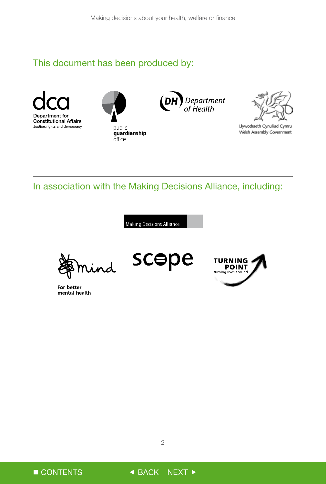## This document has been produced by:









Llywodraeth Cynulliad Cymru Welsh Assembly Government

In association with the Making Decisions Alliance, including:

Making Decisions Alliance



For better mental health

scepe



 $\overline{c}$ 

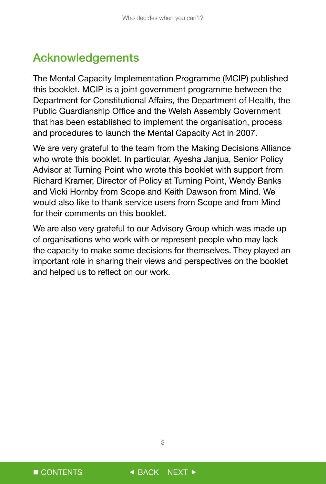# Acknowledgements

The Mental Capacity Implementation Programme (MCIP) published this booklet. MCIP is a joint government programme between the Department for Constitutional Affairs, the Department of Health, the Public Guardianship Office and the Welsh Assembly Government that has been established to implement the organisation, process and procedures to launch the Mental Capacity Act in 2007.

We are very grateful to the team from the Making Decisions Alliance who wrote this booklet. In particular, Avesha Janjua, Senior Policy Advisor at Turning Point who wrote this booklet with support from Richard Kramer, Director of Policy at Turning Point, Wendy Banks and Vicki Hornby from Scope and Keith Dawson from Mind. We would also like to thank service users from Scope and from Mind for their comments on this booklet.

We are also very grateful to our Advisory Group which was made up of organisations who work with or represent people who may lack the capacity to make some decisions for themselves. They played an important role in sharing their views and perspectives on the booklet and helped us to reflect on our work.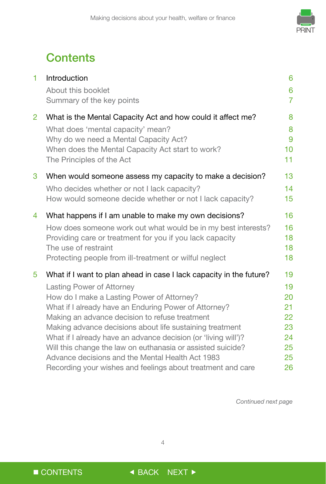

# **Contents**

| 1              | Introduction<br>About this booklet<br>Summary of the key points                                                                                                                                                                                                                                                                                                                                                                                                                                                                                                                  | 6<br>6<br>$\overline{7}$                                 |
|----------------|----------------------------------------------------------------------------------------------------------------------------------------------------------------------------------------------------------------------------------------------------------------------------------------------------------------------------------------------------------------------------------------------------------------------------------------------------------------------------------------------------------------------------------------------------------------------------------|----------------------------------------------------------|
| $\overline{2}$ | What is the Mental Capacity Act and how could it affect me?<br>What does 'mental capacity' mean?<br>Why do we need a Mental Capacity Act?<br>When does the Mental Capacity Act start to work?<br>The Principles of the Act                                                                                                                                                                                                                                                                                                                                                       | 8<br>8<br>9<br>10 <sup>1</sup><br>11                     |
| 3              | When would someone assess my capacity to make a decision?<br>Who decides whether or not I lack capacity?<br>How would someone decide whether or not I lack capacity?                                                                                                                                                                                                                                                                                                                                                                                                             | 13<br>14<br>15                                           |
| 4              | What happens if I am unable to make my own decisions?<br>How does someone work out what would be in my best interests?<br>Providing care or treatment for you if you lack capacity<br>The use of restraint<br>Protecting people from ill-treatment or wilful neglect                                                                                                                                                                                                                                                                                                             | 16<br>16<br>18<br>18<br>18                               |
| 5              | What if I want to plan ahead in case I lack capacity in the future?<br><b>Lasting Power of Attorney</b><br>How do I make a Lasting Power of Attorney?<br>What if I already have an Enduring Power of Attorney?<br>Making an advance decision to refuse treatment<br>Making advance decisions about life sustaining treatment<br>What if I already have an advance decision (or 'living will')?<br>Will this change the law on euthanasia or assisted suicide?<br>Advance decisions and the Mental Health Act 1983<br>Recording your wishes and feelings about treatment and care | 19<br>19<br>20<br>21<br>22<br>23<br>24<br>25<br>25<br>26 |

*Continued next page*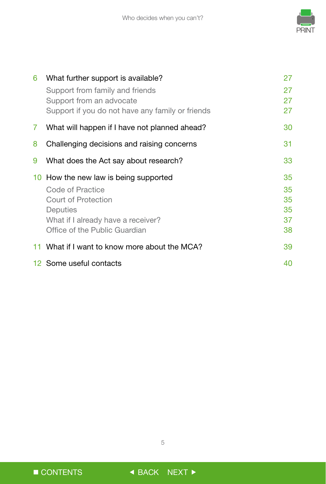

| 6  | What further support is available?                                           | 27       |
|----|------------------------------------------------------------------------------|----------|
|    | Support from family and friends                                              | 27       |
|    | Support from an advocate<br>Support if you do not have any family or friends | 27<br>27 |
| 7. | What will happen if I have not planned ahead?                                | 30       |
| 8  | Challenging decisions and raising concerns                                   | 31       |
| 9  | What does the Act say about research?                                        | 33       |
|    | 10 How the new law is being supported                                        | 35       |
|    | Code of Practice                                                             | 35       |
|    | Court of Protection                                                          | 35       |
|    | Deputies                                                                     | 35       |
|    | What if I already have a receiver?                                           | 37       |
|    | Office of the Public Guardian                                                | 38       |
|    |                                                                              |          |
|    | 11 What if I want to know more about the MCA?                                | 39       |

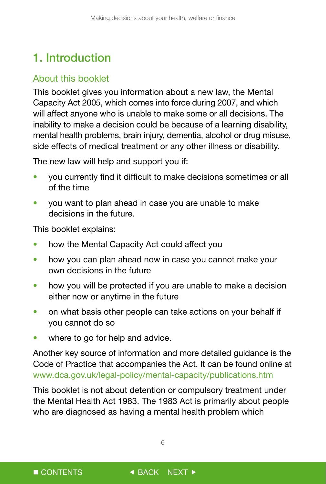# <span id="page-6-0"></span>1. Introduction

## About this booklet

This booklet gives you information about a new law, the Mental Capacity Act 2005, which comes into force during 2007, and which will affect anyone who is unable to make some or all decisions. The inability to make a decision could be because of a learning disability, mental health problems, brain injury, dementia, alcohol or drug misuse, side effects of medical treatment or any other illness or disability.

The new law will help and support you if:

- you currently find it difficult to make decisions sometimes or all of the time
- you want to plan ahead in case you are unable to make decisions in the future.

This booklet explains:

- how the Mental Capacity Act could affect you
- how you can plan ahead now in case you cannot make your own decisions in the future
- how you will be protected if you are unable to make a decision either now or anytime in the future
- on what basis other people can take actions on your behalf if you cannot do so
- where to go for help and advice.

Another key source of information and more detailed guidance is the Code of Practice that accompanies the Act. It can be found online at www.dca.gov.uk/legal-policy/mental-capacity/publications.htm

This booklet is not about detention or compulsory treatment under the Mental Health Act 1983. The 1983 Act is primarily about people who are diagnosed as having a mental health problem which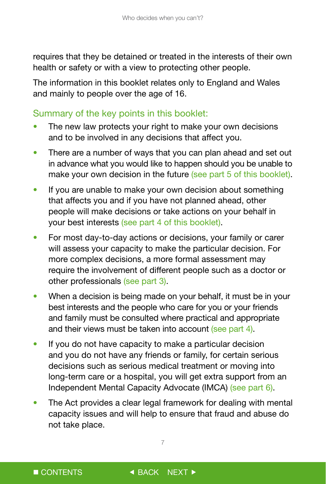<span id="page-7-0"></span>requires that they be detained or treated in the interests of their own health or safety or with a view to protecting other people.

The information in this booklet relates only to England and Wales and mainly to people over the age of 16.

### Summary of the key points in this booklet:

- The new law protects your right to make your own decisions and to be involved in any decisions that affect you.
- There are a number of ways that you can plan ahead and set out in advance what you would like to happen should you be unable to make your own decision in the future (see part 5 of this booklet).
- If you are unable to make your own decision about something that affects you and if you have not planned ahead, other people will make decisions or take actions on your behalf in your best interests (see part 4 of this booklet).
- For most day-to-day actions or decisions, your family or carer will assess your capacity to make the particular decision. For more complex decisions, a more formal assessment may require the involvement of different people such as a doctor or other professionals (see part 3).
- When a decision is being made on your behalf, it must be in your best interests and the people who care for you or your friends and family must be consulted where practical and appropriate and their views must be taken into account (see part 4).
- If you do not have capacity to make a particular decision and you do not have any friends or family, for certain serious decisions such as serious medical treatment or moving into long-term care or a hospital, you will get extra support from an Independent Mental Capacity Advocate (IMCA) (see part 6).
- The Act provides a clear legal framework for dealing with mental capacity issues and will help to ensure that fraud and abuse do not take place.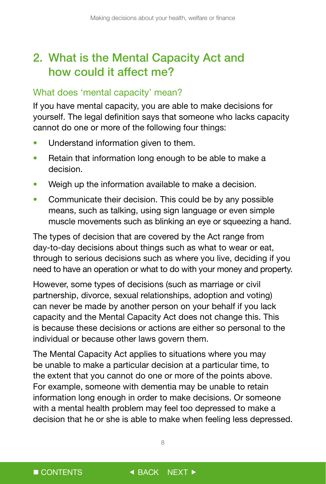# <span id="page-8-0"></span>2. What is the Mental Capacity Act and how could it affect me?

### What does 'mental capacity' mean?

If you have mental capacity, you are able to make decisions for yourself. The legal definition says that someone who lacks capacity cannot do one or more of the following four things:

- Understand information given to them.
- Retain that information long enough to be able to make a decision.
- Weigh up the information available to make a decision.
- Communicate their decision. This could be by any possible means, such as talking, using sign language or even simple muscle movements such as blinking an eye or squeezing a hand.

The types of decision that are covered by the Act range from day-to-day decisions about things such as what to wear or eat, through to serious decisions such as where you live, deciding if you need to have an operation or what to do with your money and property.

However, some types of decisions (such as marriage or civil partnership, divorce, sexual relationships, adoption and voting) can never be made by another person on your behalf if you lack capacity and the Mental Capacity Act does not change this. This is because these decisions or actions are either so personal to the individual or because other laws govern them.

The Mental Capacity Act applies to situations where you may be unable to make a particular decision at a particular time, to the extent that you cannot do one or more of the points above. For example, someone with dementia may be unable to retain information long enough in order to make decisions. Or someone with a mental health problem may feel too depressed to make a decision that he or she is able to make when feeling less depressed.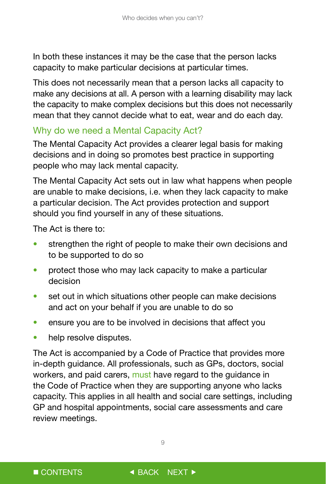<span id="page-9-0"></span>In both these instances it may be the case that the person lacks capacity to make particular decisions at particular times.

This does not necessarily mean that a person lacks all capacity to make any decisions at all. A person with a learning disability may lack the capacity to make complex decisions but this does not necessarily mean that they cannot decide what to eat, wear and do each day.

### Why do we need a Mental Capacity Act?

The Mental Capacity Act provides a clearer legal basis for making decisions and in doing so promotes best practice in supporting people who may lack mental capacity.

The Mental Capacity Act sets out in law what happens when people are unable to make decisions, i.e. when they lack capacity to make a particular decision. The Act provides protection and support should you find yourself in any of these situations.

The Act is there to:

- strengthen the right of people to make their own decisions and to be supported to do so
- protect those who may lack capacity to make a particular decision
- set out in which situations other people can make decisions and act on your behalf if you are unable to do so
- ensure you are to be involved in decisions that affect you
- help resolve disputes.

The Act is accompanied by a Code of Practice that provides more in-depth guidance. All professionals, such as GPs, doctors, social workers, and paid carers, must have regard to the guidance in the Code of Practice when they are supporting anyone who lacks capacity. This applies in all health and social care settings, including GP and hospital appointments, social care assessments and care review meetings.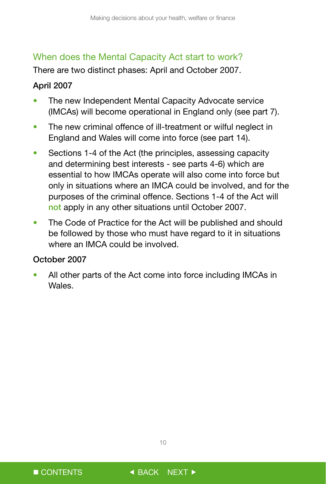### <span id="page-10-0"></span>When does the Mental Capacity Act start to work?

There are two distinct phases: April and October 2007.

### April 2007

- The new Independent Mental Capacity Advocate service (IMCAs) will become operational in England only (see part 7).
- The new criminal offence of ill-treatment or wilful neglect in England and Wales will come into force (see part 14).
- Sections 1-4 of the Act (the principles, assessing capacity and determining best interests - see parts 4-6) which are essential to how IMCAs operate will also come into force but only in situations where an IMCA could be involved, and for the purposes of the criminal offence. Sections 1-4 of the Act will not apply in any other situations until October 2007.
- The Code of Practice for the Act will be published and should be followed by those who must have regard to it in situations where an IMCA could be involved.

#### October 2007

All other parts of the Act come into force including IMCAs in Wales.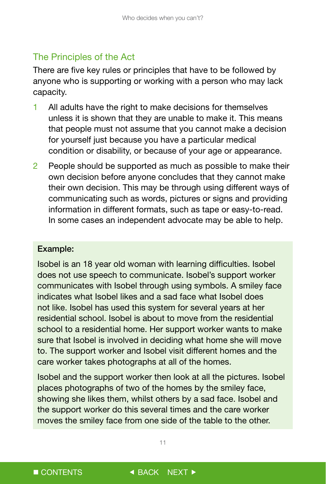## <span id="page-11-0"></span>The Principles of the Act

There are five key rules or principles that have to be followed by anyone who is supporting or working with a person who may lack capacity.

- 1 All adults have the right to make decisions for themselves unless it is shown that they are unable to make it. This means that people must not assume that you cannot make a decision for yourself just because you have a particular medical condition or disability, or because of your age or appearance.
- 2 People should be supported as much as possible to make their own decision before anyone concludes that they cannot make their own decision. This may be through using different ways of communicating such as words, pictures or signs and providing information in different formats, such as tape or easy-to-read. In some cases an independent advocate may be able to help.

#### Example:

Isobel is an 18 year old woman with learning difficulties. Isobel does not use speech to communicate. Isobel's support worker communicates with Isobel through using symbols. A smiley face indicates what Isobel likes and a sad face what Isobel does not like. Isobel has used this system for several years at her residential school. Isobel is about to move from the residential school to a residential home. Her support worker wants to make sure that Isobel is involved in deciding what home she will move to. The support worker and Isobel visit different homes and the care worker takes photographs at all of the homes.

Isobel and the support worker then look at all the pictures. Isobel places photographs of two of the homes by the smiley face, showing she likes them, whilst others by a sad face. Isobel and the support worker do this several times and the care worker moves the smiley face from one side of the table to the other.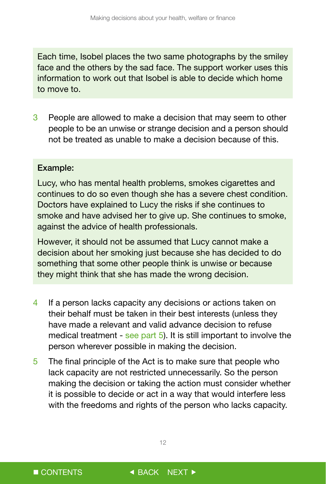Each time, Isobel places the two same photographs by the smiley face and the others by the sad face. The support worker uses this information to work out that Isobel is able to decide which home to move to.

3 People are allowed to make a decision that may seem to other people to be an unwise or strange decision and a person should not be treated as unable to make a decision because of this.

#### Example:

Lucy, who has mental health problems, smokes cigarettes and continues to do so even though she has a severe chest condition. Doctors have explained to Lucy the risks if she continues to smoke and have advised her to give up. She continues to smoke, against the advice of health professionals.

However, it should not be assumed that Lucy cannot make a decision about her smoking just because she has decided to do something that some other people think is unwise or because they might think that she has made the wrong decision.

- 4 If a person lacks capacity any decisions or actions taken on their behalf must be taken in their best interests (unless they have made a relevant and valid advance decision to refuse medical treatment - see part 5). It is still important to involve the person wherever possible in making the decision.
- 5 The final principle of the Act is to make sure that people who lack capacity are not restricted unnecessarily. So the person making the decision or taking the action must consider whether it is possible to decide or act in a way that would interfere less with the freedoms and rights of the person who lacks capacity.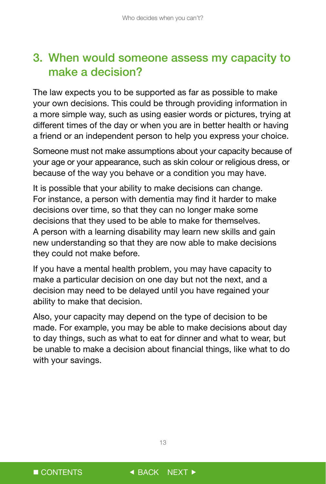# <span id="page-13-0"></span>3. When would someone assess my capacity to make a decision?

The law expects you to be supported as far as possible to make your own decisions. This could be through providing information in a more simple way, such as using easier words or pictures, trying at different times of the day or when you are in better health or having a friend or an independent person to help you express your choice.

Someone must not make assumptions about your capacity because of your age or your appearance, such as skin colour or religious dress, or because of the way you behave or a condition you may have.

It is possible that your ability to make decisions can change. For instance, a person with dementia may find it harder to make decisions over time, so that they can no longer make some decisions that they used to be able to make for themselves. A person with a learning disability may learn new skills and gain new understanding so that they are now able to make decisions they could not make before.

If you have a mental health problem, you may have capacity to make a particular decision on one day but not the next, and a decision may need to be delayed until you have regained your ability to make that decision.

Also, your capacity may depend on the type of decision to be made. For example, you may be able to make decisions about day to day things, such as what to eat for dinner and what to wear, but be unable to make a decision about financial things, like what to do with your savings.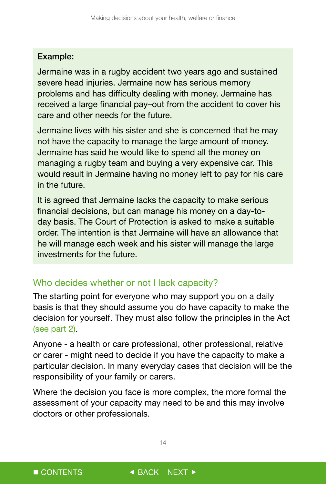#### <span id="page-14-0"></span>Example:

Jermaine was in a rugby accident two years ago and sustained severe head injuries. Jermaine now has serious memory problems and has difficulty dealing with money. Jermaine has received a large financial pay–out from the accident to cover his care and other needs for the future.

Jermaine lives with his sister and she is concerned that he may not have the capacity to manage the large amount of money. Jermaine has said he would like to spend all the money on managing a rugby team and buying a very expensive car. This would result in Jermaine having no money left to pay for his care in the future.

It is agreed that Jermaine lacks the capacity to make serious financial decisions, but can manage his money on a day-today basis. The Court of Protection is asked to make a suitable order. The intention is that Jermaine will have an allowance that he will manage each week and his sister will manage the large investments for the future.

### Who decides whether or not I lack capacity?

The starting point for everyone who may support you on a daily basis is that they should assume you do have capacity to make the decision for yourself. They must also follow the principles in the Act (see part 2).

Anyone - a health or care professional, other professional, relative or carer - might need to decide if you have the capacity to make a particular decision. In many everyday cases that decision will be the responsibility of your family or carers.

Where the decision you face is more complex, the more formal the assessment of your capacity may need to be and this may involve doctors or other professionals.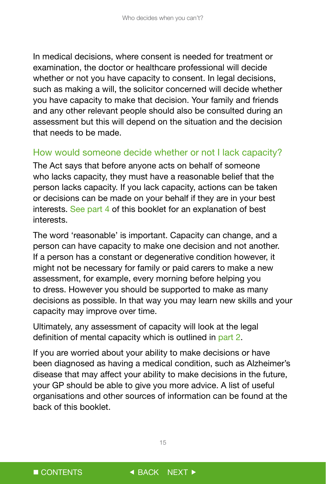<span id="page-15-0"></span>In medical decisions, where consent is needed for treatment or examination, the doctor or healthcare professional will decide whether or not you have capacity to consent. In legal decisions, such as making a will, the solicitor concerned will decide whether you have capacity to make that decision. Your family and friends and any other relevant people should also be consulted during an assessment but this will depend on the situation and the decision that needs to be made.

### How would someone decide whether or not I lack capacity?

The Act says that before anyone acts on behalf of someone who lacks capacity, they must have a reasonable belief that the person lacks capacity. If you lack capacity, actions can be taken or decisions can be made on your behalf if they are in your best interests. See part 4 of this booklet for an explanation of best interests.

The word 'reasonable' is important. Capacity can change, and a person can have capacity to make one decision and not another. If a person has a constant or degenerative condition however, it might not be necessary for family or paid carers to make a new assessment, for example, every morning before helping you to dress. However you should be supported to make as many decisions as possible. In that way you may learn new skills and your capacity may improve over time.

Ultimately, any assessment of capacity will look at the legal definition of mental capacity which is outlined in part 2.

If you are worried about your ability to make decisions or have been diagnosed as having a medical condition, such as Alzheimer's disease that may affect your ability to make decisions in the future, your GP should be able to give you more advice. A list of useful organisations and other sources of information can be found at the back of this booklet.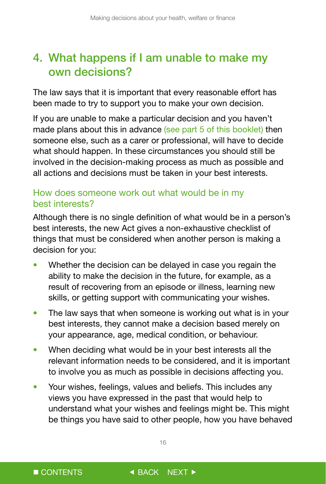# <span id="page-16-0"></span>4. What happens if I am unable to make my own decisions?

The law says that it is important that every reasonable effort has been made to try to support you to make your own decision.

If you are unable to make a particular decision and you haven't made plans about this in advance (see part 5 of this booklet) then someone else, such as a carer or professional, will have to decide what should happen. In these circumstances you should still be involved in the decision-making process as much as possible and all actions and decisions must be taken in your best interests.

## How does someone work out what would be in my best interests?

Although there is no single definition of what would be in a person's best interests, the new Act gives a non-exhaustive checklist of things that must be considered when another person is making a decision for you:

- Whether the decision can be delayed in case you regain the ability to make the decision in the future, for example, as a result of recovering from an episode or illness, learning new skills, or getting support with communicating your wishes.
- The law says that when someone is working out what is in your best interests, they cannot make a decision based merely on your appearance, age, medical condition, or behaviour.
- When deciding what would be in your best interests all the relevant information needs to be considered, and it is important to involve you as much as possible in decisions affecting you.
- Your wishes, feelings, values and beliefs. This includes any views you have expressed in the past that would help to understand what your wishes and feelings might be. This might be things you have said to other people, how you have behaved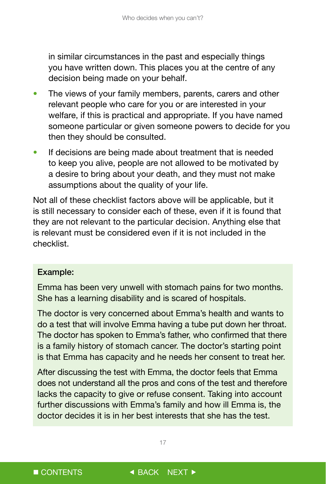in similar circumstances in the past and especially things you have written down. This places you at the centre of any decision being made on your behalf.

- The views of your family members, parents, carers and other relevant people who care for you or are interested in your welfare, if this is practical and appropriate. If you have named someone particular or given someone powers to decide for you then they should be consulted.
- If decisions are being made about treatment that is needed to keep you alive, people are not allowed to be motivated by a desire to bring about your death, and they must not make assumptions about the quality of your life.

Not all of these checklist factors above will be applicable, but it is still necessary to consider each of these, even if it is found that they are not relevant to the particular decision. Anything else that is relevant must be considered even if it is not included in the checklist.

#### Example:

Emma has been very unwell with stomach pains for two months. She has a learning disability and is scared of hospitals.

The doctor is very concerned about Emma's health and wants to do a test that will involve Emma having a tube put down her throat. The doctor has spoken to Emma's father, who confirmed that there is a family history of stomach cancer. The doctor's starting point is that Emma has capacity and he needs her consent to treat her.

After discussing the test with Emma, the doctor feels that Emma does not understand all the pros and cons of the test and therefore lacks the capacity to give or refuse consent. Taking into account further discussions with Emma's family and how ill Emma is, the doctor decides it is in her best interests that she has the test.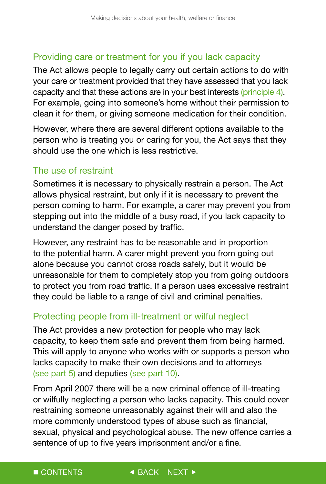## <span id="page-18-0"></span>Providing care or treatment for you if you lack capacity

The Act allows people to legally carry out certain actions to do with your care or treatment provided that they have assessed that you lack capacity and that these actions are in your best interests (principle 4). For example, going into someone's home without their permission to clean it for them, or giving someone medication for their condition.

However, where there are several different options available to the person who is treating you or caring for you, the Act says that they should use the one which is less restrictive.

### The use of restraint

Sometimes it is necessary to physically restrain a person. The Act allows physical restraint, but only if it is necessary to prevent the person coming to harm. For example, a carer may prevent you from stepping out into the middle of a busy road, if you lack capacity to understand the danger posed by traffic.

However, any restraint has to be reasonable and in proportion to the potential harm. A carer might prevent you from going out alone because you cannot cross roads safely, but it would be unreasonable for them to completely stop you from going outdoors to protect you from road traffic. If a person uses excessive restraint they could be liable to a range of civil and criminal penalties.

## Protecting people from ill-treatment or wilful neglect

The Act provides a new protection for people who may lack capacity, to keep them safe and prevent them from being harmed. This will apply to anyone who works with or supports a person who lacks capacity to make their own decisions and to attorneys (see part 5) and deputies (see part 10).

sentence of up to five years imprisonment and/or a fine. From April 2007 there will be a new criminal offence of ill-treating or wilfully neglecting a person who lacks capacity. This could cover restraining someone unreasonably against their will and also the more commonly understood types of abuse such as financial, sexual, physical and psychological abuse. The new offence carries a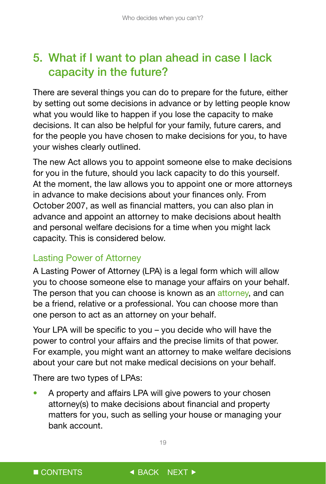# <span id="page-19-0"></span>5. What if I want to plan ahead in case I lack capacity in the future?

There are several things you can do to prepare for the future, either by setting out some decisions in advance or by letting people know what you would like to happen if you lose the capacity to make decisions. It can also be helpful for your family, future carers, and for the people you have chosen to make decisions for you, to have your wishes clearly outlined.

The new Act allows you to appoint someone else to make decisions for you in the future, should you lack capacity to do this yourself. At the moment, the law allows you to appoint one or more attorneys in advance to make decisions about your finances only. From October 2007, as well as financial matters, you can also plan in advance and appoint an attorney to make decisions about health and personal welfare decisions for a time when you might lack capacity. This is considered below.

## Lasting Power of Attorney

A Lasting Power of Attorney (LPA) is a legal form which will allow you to choose someone else to manage your affairs on your behalf. The person that you can choose is known as an attorney, and can be a friend, relative or a professional. You can choose more than one person to act as an attorney on your behalf.

Your LPA will be specific to you – you decide who will have the power to control your affairs and the precise limits of that power. For example, you might want an attorney to make welfare decisions about your care but not make medical decisions on your behalf.

There are two types of LPAs:

• A property and affairs LPA will give powers to your chosen attorney(s) to make decisions about financial and property matters for you, such as selling your house or managing your bank account.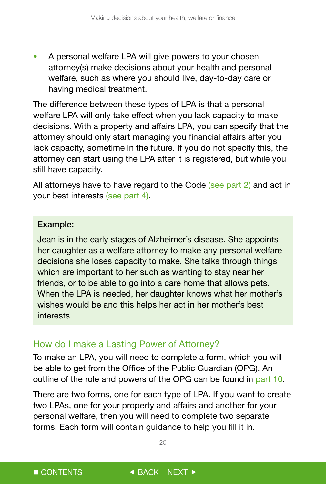<span id="page-20-0"></span>• A personal welfare LPA will give powers to your chosen attorney(s) make decisions about your health and personal welfare, such as where you should live, day-to-day care or having medical treatment.

The difference between these types of LPA is that a personal welfare LPA will only take effect when you lack capacity to make decisions. With a property and affairs LPA, you can specify that the attorney should only start managing you financial affairs after you lack capacity, sometime in the future. If you do not specify this, the attorney can start using the LPA after it is registered, but while you still have capacity.

All attorneys have to have regard to the Code (see part 2) and act in your best interests (see part 4).

#### Example:

Jean is in the early stages of Alzheimer's disease. She appoints her daughter as a welfare attorney to make any personal welfare decisions she loses capacity to make. She talks through things which are important to her such as wanting to stay near her friends, or to be able to go into a care home that allows pets. When the LPA is needed, her daughter knows what her mother's wishes would be and this helps her act in her mother's best interests.

### How do I make a Lasting Power of Attorney?

To make an LPA, you will need to complete a form, which you will be able to get from the Office of the Public Guardian (OPG). An outline of the role and powers of the OPG can be found in part 10.

There are two forms, one for each type of LPA. If you want to create two LPAs, one for your property and affairs and another for your personal welfare, then you will need to complete two separate forms. Each form will contain guidance to help you fill it in.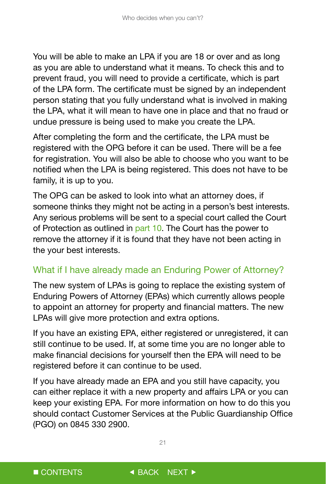<span id="page-21-0"></span>You will be able to make an LPA if you are 18 or over and as long as you are able to understand what it means. To check this and to prevent fraud, you will need to provide a certificate, which is part of the LPA form. The certificate must be signed by an independent person stating that you fully understand what is involved in making the LPA, what it will mean to have one in place and that no fraud or undue pressure is being used to make you create the LPA.

After completing the form and the certificate, the LPA must be registered with the OPG before it can be used. There will be a fee for registration. You will also be able to choose who you want to be notified when the LPA is being registered. This does not have to be family, it is up to you.

The OPG can be asked to look into what an attorney does, if someone thinks they might not be acting in a person's best interests. Any serious problems will be sent to a special court called the Court of Protection as outlined in part 10. The Court has the power to remove the attorney if it is found that they have not been acting in the your best interests.

## What if I have already made an Enduring Power of Attorney?

The new system of LPAs is going to replace the existing system of Enduring Powers of Attorney (EPAs) which currently allows people to appoint an attorney for property and financial matters. The new LPAs will give more protection and extra options.

If you have an existing EPA, either registered or unregistered, it can still continue to be used. If, at some time you are no longer able to make financial decisions for yourself then the EPA will need to be registered before it can continue to be used.

If you have already made an EPA and you still have capacity, you can either replace it with a new property and affairs LPA or you can keep your existing EPA. For more information on how to do this you should contact Customer Services at the Public Guardianship Office (PGO) on 0845 330 2900.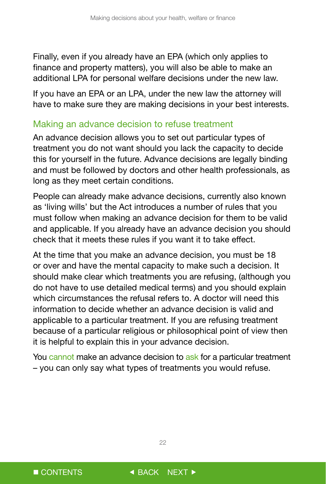<span id="page-22-0"></span>Finally, even if you already have an EPA (which only applies to finance and property matters), you will also be able to make an additional LPA for personal welfare decisions under the new law.

If you have an EPA or an LPA, under the new law the attorney will have to make sure they are making decisions in your best interests.

### Making an advance decision to refuse treatment

An advance decision allows you to set out particular types of treatment you do not want should you lack the capacity to decide this for yourself in the future. Advance decisions are legally binding and must be followed by doctors and other health professionals, as long as they meet certain conditions.

People can already make advance decisions, currently also known as 'living wills' but the Act introduces a number of rules that you must follow when making an advance decision for them to be valid and applicable. If you already have an advance decision you should check that it meets these rules if you want it to take effect.

At the time that you make an advance decision, you must be 18 or over and have the mental capacity to make such a decision. It should make clear which treatments you are refusing, (although you do not have to use detailed medical terms) and you should explain which circumstances the refusal refers to. A doctor will need this information to decide whether an advance decision is valid and applicable to a particular treatment. If you are refusing treatment because of a particular religious or philosophical point of view then it is helpful to explain this in your advance decision.

You cannot make an advance decision to ask for a particular treatment – you can only say what types of treatments you would refuse.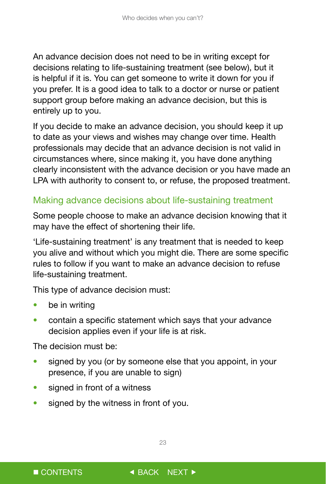<span id="page-23-0"></span>An advance decision does not need to be in writing except for decisions relating to life-sustaining treatment (see below), but it is helpful if it is. You can get someone to write it down for you if you prefer. It is a good idea to talk to a doctor or nurse or patient support group before making an advance decision, but this is entirely up to you.

If you decide to make an advance decision, you should keep it up to date as your views and wishes may change over time. Health professionals may decide that an advance decision is not valid in circumstances where, since making it, you have done anything clearly inconsistent with the advance decision or you have made an LPA with authority to consent to, or refuse, the proposed treatment.

### Making advance decisions about life-sustaining treatment

Some people choose to make an advance decision knowing that it may have the effect of shortening their life.

'Life-sustaining treatment' is any treatment that is needed to keep you alive and without which you might die. There are some specific rules to follow if you want to make an advance decision to refuse life-sustaining treatment.

This type of advance decision must:

- be in writing
- contain a specific statement which says that your advance decision applies even if your life is at risk.

The decision must be:

- signed by you (or by someone else that you appoint, in your presence, if you are unable to sign)
- signed in front of a witness
- signed by the witness in front of you.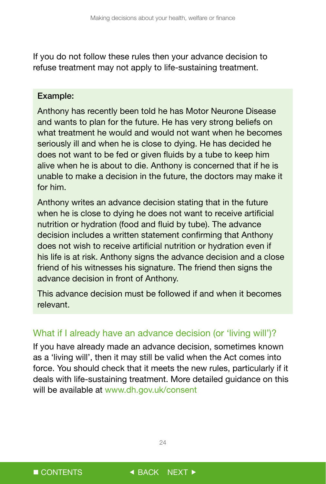<span id="page-24-0"></span>If you do not follow these rules then your advance decision to refuse treatment may not apply to life-sustaining treatment.

#### Example:

Anthony has recently been told he has Motor Neurone Disease and wants to plan for the future. He has very strong beliefs on what treatment he would and would not want when he becomes seriously ill and when he is close to dying. He has decided he does not want to be fed or given fluids by a tube to keep him alive when he is about to die. Anthony is concerned that if he is unable to make a decision in the future, the doctors may make it for him.

Anthony writes an advance decision stating that in the future when he is close to dying he does not want to receive artificial nutrition or hydration (food and fluid by tube). The advance decision includes a written statement confirming that Anthony does not wish to receive artificial nutrition or hydration even if his life is at risk. Anthony signs the advance decision and a close friend of his witnesses his signature. The friend then signs the advance decision in front of Anthony.

This advance decision must be followed if and when it becomes relevant.

### What if I already have an advance decision (or 'living will')?

If you have already made an advance decision, sometimes known as a 'living will', then it may still be valid when the Act comes into force. You should check that it meets the new rules, particularly if it deals with life-sustaining treatment. More detailed guidance on this will be available at www.dh.gov.uk/consent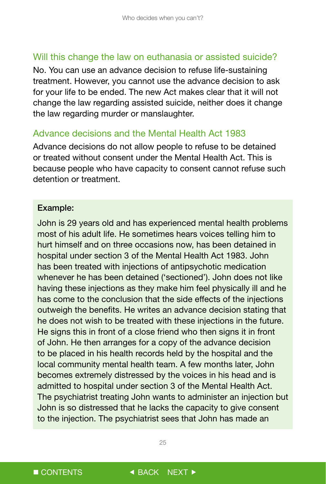#### <span id="page-25-0"></span>Will this change the law on euthanasia or assisted suicide?

No. You can use an advance decision to refuse life-sustaining treatment. However, you cannot use the advance decision to ask for your life to be ended. The new Act makes clear that it will not change the law regarding assisted suicide, neither does it change the law regarding murder or manslaughter.

#### Advance decisions and the Mental Health Act 1983

Advance decisions do not allow people to refuse to be detained or treated without consent under the Mental Health Act. This is because people who have capacity to consent cannot refuse such detention or treatment.

#### Example:

John is 29 years old and has experienced mental health problems most of his adult life. He sometimes hears voices telling him to hurt himself and on three occasions now, has been detained in hospital under section 3 of the Mental Health Act 1983. John has been treated with injections of antipsychotic medication whenever he has been detained ('sectioned'). John does not like having these injections as they make him feel physically ill and he has come to the conclusion that the side effects of the injections outweigh the benefits. He writes an advance decision stating that he does not wish to be treated with these injections in the future. He signs this in front of a close friend who then signs it in front of John. He then arranges for a copy of the advance decision to be placed in his health records held by the hospital and the local community mental health team. A few months later, John becomes extremely distressed by the voices in his head and is admitted to hospital under section 3 of the Mental Health Act. The psychiatrist treating John wants to administer an injection but John is so distressed that he lacks the capacity to give consent to the injection. The psychiatrist sees that John has made an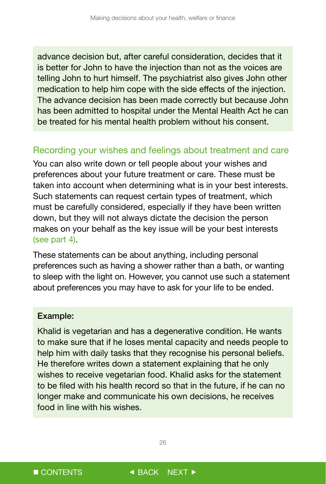<span id="page-26-0"></span>advance decision but, after careful consideration, decides that it is better for John to have the injection than not as the voices are telling John to hurt himself. The psychiatrist also gives John other medication to help him cope with the side effects of the injection. The advance decision has been made correctly but because John has been admitted to hospital under the Mental Health Act he can be treated for his mental health problem without his consent.

#### Recording your wishes and feelings about treatment and care

You can also write down or tell people about your wishes and preferences about your future treatment or care. These must be taken into account when determining what is in your best interests. Such statements can request certain types of treatment, which must be carefully considered, especially if they have been written down, but they will not always dictate the decision the person makes on your behalf as the key issue will be your best interests (see part 4).

These statements can be about anything, including personal preferences such as having a shower rather than a bath, or wanting to sleep with the light on. However, you cannot use such a statement about preferences you may have to ask for your life to be ended.

#### Example:

Khalid is vegetarian and has a degenerative condition. He wants to make sure that if he loses mental capacity and needs people to help him with daily tasks that they recognise his personal beliefs. He therefore writes down a statement explaining that he only wishes to receive vegetarian food. Khalid asks for the statement to be filed with his health record so that in the future, if he can no longer make and communicate his own decisions, he receives food in line with his wishes.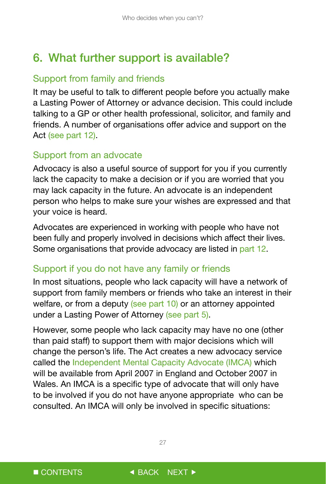# <span id="page-27-0"></span>6. What further support is available?

## Support from family and friends

It may be useful to talk to different people before you actually make a Lasting Power of Attorney or advance decision. This could include talking to a GP or other health professional, solicitor, and family and friends. A number of organisations offer advice and support on the Act (see part 12).

## Support from an advocate

Advocacy is also a useful source of support for you if you currently lack the capacity to make a decision or if you are worried that you may lack capacity in the future. An advocate is an independent person who helps to make sure your wishes are expressed and that your voice is heard.

Advocates are experienced in working with people who have not been fully and properly involved in decisions which affect their lives. Some organisations that provide advocacy are listed in part 12.

## Support if you do not have any family or friends

In most situations, people who lack capacity will have a network of support from family members or friends who take an interest in their welfare, or from a deputy (see part 10) or an attorney appointed under a Lasting Power of Attorney (see part 5).

However, some people who lack capacity may have no one (other than paid staff) to support them with major decisions which will change the person's life. The Act creates a new advocacy service called the Independent Mental Capacity Advocate (IMCA) which will be available from April 2007 in England and October 2007 in Wales. An IMCA is a specific type of advocate that will only have to be involved if you do not have anyone appropriate who can be consulted. An IMCA will only be involved in specific situations: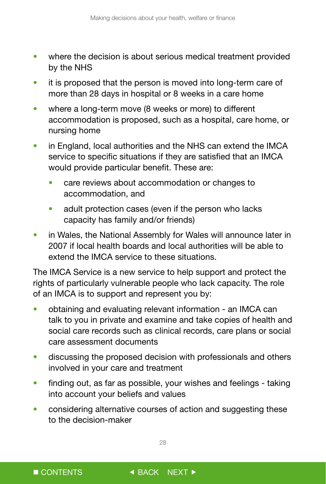- where the decision is about serious medical treatment provided by the NHS
- it is proposed that the person is moved into long-term care of more than 28 days in hospital or 8 weeks in a care home
- where a long-term move (8 weeks or more) to different accommodation is proposed, such as a hospital, care home, or nursing home
- in England, local authorities and the NHS can extend the IMCA service to specific situations if they are satisfied that an IMCA would provide particular benefit. These are:
	- care reviews about accommodation or changes to accommodation, and
	- adult protection cases (even if the person who lacks capacity has family and/or friends)
- in Wales, the National Assembly for Wales will announce later in 2007 if local health boards and local authorities will be able to extend the IMCA service to these situations.

The IMCA Service is a new service to help support and protect the rights of particularly vulnerable people who lack capacity. The role of an IMCA is to support and represent you by:

- obtaining and evaluating relevant information an IMCA can talk to you in private and examine and take copies of health and social care records such as clinical records, care plans or social care assessment documents
- discussing the proposed decision with professionals and others involved in your care and treatment
- finding out, as far as possible, your wishes and feelings taking into account your beliefs and values
- considering alternative courses of action and suggesting these to the decision-maker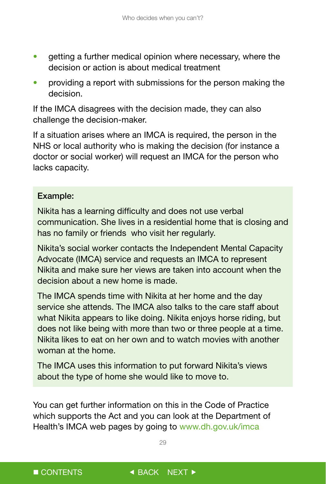- getting a further medical opinion where necessary, where the decision or action is about medical treatment
- providing a report with submissions for the person making the decision.

If the IMCA disagrees with the decision made, they can also challenge the decision-maker.

If a situation arises where an IMCA is required, the person in the NHS or local authority who is making the decision (for instance a doctor or social worker) will request an IMCA for the person who lacks capacity.

### Example:

Nikita has a learning difficulty and does not use verbal communication. She lives in a residential home that is closing and has no family or friends who visit her regularly.

Nikita's social worker contacts the Independent Mental Capacity Advocate (IMCA) service and requests an IMCA to represent Nikita and make sure her views are taken into account when the decision about a new home is made.

The IMCA spends time with Nikita at her home and the day service she attends. The IMCA also talks to the care staff about what Nikita appears to like doing. Nikita enjoys horse riding, but does not like being with more than two or three people at a time. Nikita likes to eat on her own and to watch movies with another woman at the home.

The IMCA uses this information to put forward Nikita's views about the type of home she would like to move to.

You can get further information on this in the Code of Practice which supports the Act and you can look at the Department of Health's IMCA web pages by going to www.dh.gov.uk/imca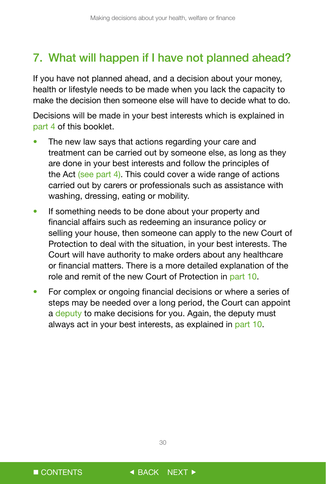# <span id="page-30-0"></span>7. What will happen if I have not planned ahead?

If you have not planned ahead, and a decision about your money, health or lifestyle needs to be made when you lack the capacity to make the decision then someone else will have to decide what to do.

Decisions will be made in your best interests which is explained in part 4 of this booklet.

- The new law says that actions regarding your care and treatment can be carried out by someone else, as long as they are done in your best interests and follow the principles of the Act (see part 4). This could cover a wide range of actions carried out by carers or professionals such as assistance with washing, dressing, eating or mobility.
- If something needs to be done about your property and financial affairs such as redeeming an insurance policy or selling your house, then someone can apply to the new Court of Protection to deal with the situation, in your best interests. The Court will have authority to make orders about any healthcare or financial matters. There is a more detailed explanation of the role and remit of the new Court of Protection in part 10.
- For complex or ongoing financial decisions or where a series of steps may be needed over a long period, the Court can appoint a deputy to make decisions for you. Again, the deputy must always act in your best interests, as explained in part 10.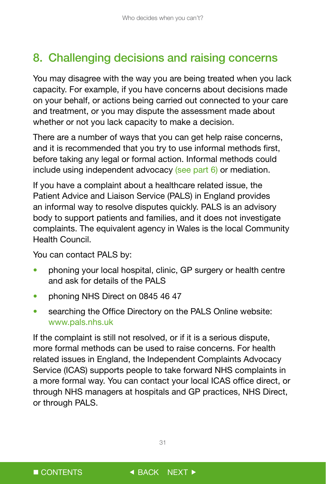# <span id="page-31-0"></span>8. Challenging decisions and raising concerns

You may disagree with the way you are being treated when you lack capacity. For example, if you have concerns about decisions made on your behalf, or actions being carried out connected to your care and treatment, or you may dispute the assessment made about whether or not you lack capacity to make a decision.

There are a number of ways that you can get help raise concerns, and it is recommended that you try to use informal methods first, before taking any legal or formal action. Informal methods could include using independent advocacy (see part 6) or mediation.

If you have a complaint about a healthcare related issue, the Patient Advice and Liaison Service (PALS) in England provides an informal way to resolve disputes quickly. PALS is an advisory body to support patients and families, and it does not investigate complaints. The equivalent agency in Wales is the local Community Health Council.

You can contact PALS by:

- phoning your local hospital, clinic, GP surgery or health centre and ask for details of the PALS
- phoning NHS Direct on 0845 46 47
- searching the Office Directory on the PALS Online website: www.pals.nhs.uk

If the complaint is still not resolved, or if it is a serious dispute, more formal methods can be used to raise concerns. For health related issues in England, the Independent Complaints Advocacy Service (ICAS) supports people to take forward NHS complaints in a more formal way. You can contact your local ICAS office direct, or through NHS managers at hospitals and GP practices, NHS Direct, or through PALS.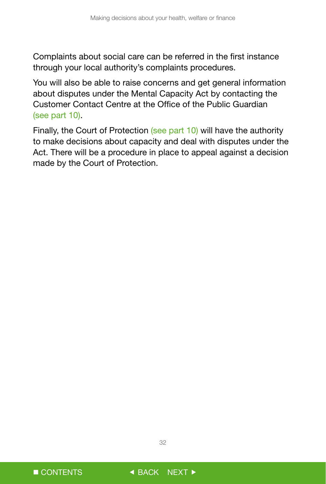Complaints about social care can be referred in the first instance through your local authority's complaints procedures.

You will also be able to raise concerns and get general information about disputes under the Mental Capacity Act by contacting the Customer Contact Centre at the Office of the Public Guardian (see part 10).

Finally, the Court of Protection (see part 10) will have the authority to make decisions about capacity and deal with disputes under the Act. There will be a procedure in place to appeal against a decision made by the Court of Protection.

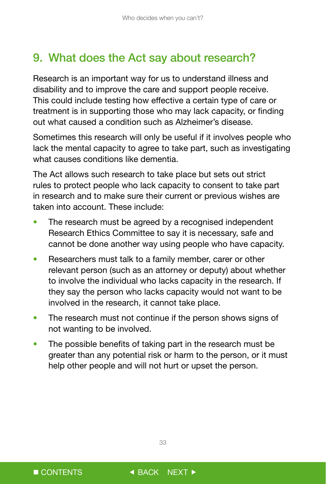# <span id="page-33-0"></span>9. What does the Act say about research?

Research is an important way for us to understand illness and disability and to improve the care and support people receive. This could include testing how effective a certain type of care or treatment is in supporting those who may lack capacity, or finding out what caused a condition such as Alzheimer's disease.

Sometimes this research will only be useful if it involves people who lack the mental capacity to agree to take part, such as investigating what causes conditions like dementia.

The Act allows such research to take place but sets out strict rules to protect people who lack capacity to consent to take part in research and to make sure their current or previous wishes are taken into account. These include:

- The research must be agreed by a recognised independent Research Ethics Committee to say it is necessary, safe and cannot be done another way using people who have capacity.
- Researchers must talk to a family member, carer or other relevant person (such as an attorney or deputy) about whether to involve the individual who lacks capacity in the research. If they say the person who lacks capacity would not want to be involved in the research, it cannot take place.
- The research must not continue if the person shows signs of not wanting to be involved.
- The possible benefits of taking part in the research must be greater than any potential risk or harm to the person, or it must help other people and will not hurt or upset the person.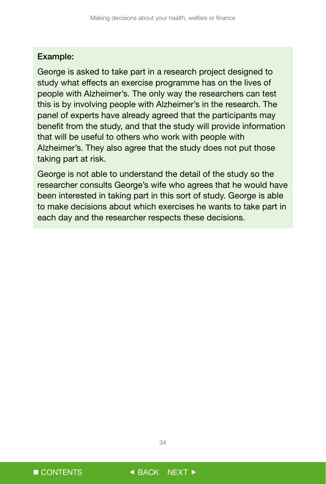#### Example:

George is asked to take part in a research project designed to study what effects an exercise programme has on the lives of people with Alzheimer's. The only way the researchers can test this is by involving people with Alzheimer's in the research. The panel of experts have already agreed that the participants may benefit from the study, and that the study will provide information that will be useful to others who work with people with Alzheimer's. They also agree that the study does not put those taking part at risk.

George is not able to understand the detail of the study so the researcher consults George's wife who agrees that he would have been interested in taking part in this sort of study. George is able to make decisions about which exercises he wants to take part in each day and the researcher respects these decisions.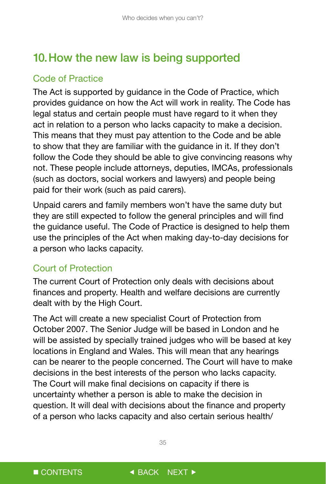# <span id="page-35-0"></span>10.How the new law is being supported

## Code of Practice

The Act is supported by guidance in the Code of Practice, which provides guidance on how the Act will work in reality. The Code has legal status and certain people must have regard to it when they act in relation to a person who lacks capacity to make a decision. This means that they must pay attention to the Code and be able to show that they are familiar with the guidance in it. If they don't follow the Code they should be able to give convincing reasons why not. These people include attorneys, deputies, IMCAs, professionals (such as doctors, social workers and lawyers) and people being paid for their work (such as paid carers).

Unpaid carers and family members won't have the same duty but they are still expected to follow the general principles and will find the guidance useful. The Code of Practice is designed to help them use the principles of the Act when making day-to-day decisions for a person who lacks capacity.

## Court of Protection

The current Court of Protection only deals with decisions about finances and property. Health and welfare decisions are currently dealt with by the High Court.

The Act will create a new specialist Court of Protection from October 2007. The Senior Judge will be based in London and he will be assisted by specially trained judges who will be based at key locations in England and Wales. This will mean that any hearings can be nearer to the people concerned. The Court will have to make decisions in the best interests of the person who lacks capacity. The Court will make final decisions on capacity if there is uncertainty whether a person is able to make the decision in question. It will deal with decisions about the finance and property of a person who lacks capacity and also certain serious health/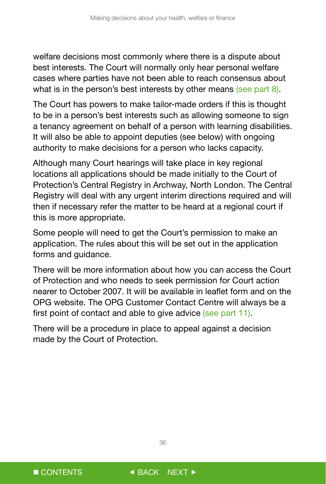welfare decisions most commonly where there is a dispute about best interests. The Court will normally only hear personal welfare cases where parties have not been able to reach consensus about what is in the person's best interests by other means (see part 8).

The Court has powers to make tailor-made orders if this is thought to be in a person's best interests such as allowing someone to sign a tenancy agreement on behalf of a person with learning disabilities. It will also be able to appoint deputies (see below) with ongoing authority to make decisions for a person who lacks capacity.

Although many Court hearings will take place in key regional locations all applications should be made initially to the Court of Protection's Central Registry in Archway, North London. The Central Registry will deal with any urgent interim directions required and will then if necessary refer the matter to be heard at a regional court if this is more appropriate.

Some people will need to get the Court's permission to make an application. The rules about this will be set out in the application forms and guidance.

There will be more information about how you can access the Court of Protection and who needs to seek permission for Court action nearer to October 2007. It will be available in leaflet form and on the OPG website. The OPG Customer Contact Centre will always be a first point of contact and able to give advice (see part 11).

There will be a procedure in place to appeal against a decision made by the Court of Protection.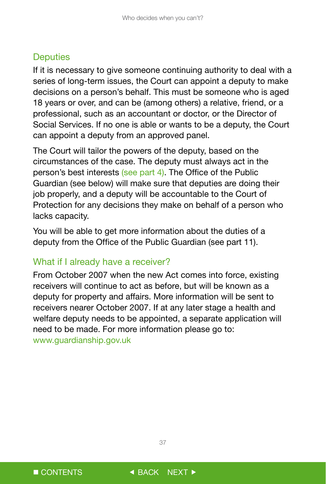### <span id="page-37-0"></span>**Deputies**

If it is necessary to give someone continuing authority to deal with a series of long-term issues, the Court can appoint a deputy to make decisions on a person's behalf. This must be someone who is aged 18 years or over, and can be (among others) a relative, friend, or a professional, such as an accountant or doctor, or the Director of Social Services. If no one is able or wants to be a deputy, the Court can appoint a deputy from an approved panel.

The Court will tailor the powers of the deputy, based on the circumstances of the case. The deputy must always act in the person's best interests (see part 4). The Office of the Public Guardian (see below) will make sure that deputies are doing their job properly, and a deputy will be accountable to the Court of Protection for any decisions they make on behalf of a person who lacks capacity.

You will be able to get more information about the duties of a deputy from the Office of the Public Guardian (see part 11).

#### What if I already have a receiver?

From October 2007 when the new Act comes into force, existing receivers will continue to act as before, but will be known as a deputy for property and affairs. More information will be sent to receivers nearer October 2007. If at any later stage a health and welfare deputy needs to be appointed, a separate application will need to be made. For more information please go to: www.guardianship.gov.uk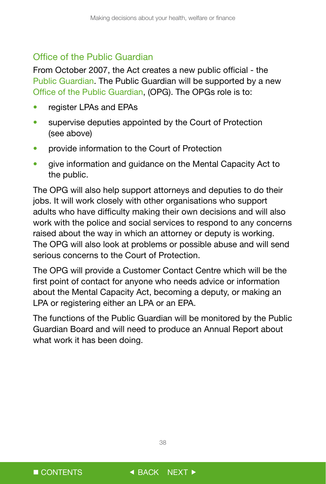### <span id="page-38-0"></span>Office of the Public Guardian

From October 2007, the Act creates a new public official - the Public Guardian. The Public Guardian will be supported by a new Office of the Public Guardian, (OPG). The OPGs role is to:

- register LPAs and EPAs
- supervise deputies appointed by the Court of Protection (see above)
- provide information to the Court of Protection
- give information and guidance on the Mental Capacity Act to the public.

The OPG will also help support attorneys and deputies to do their jobs. It will work closely with other organisations who support adults who have difficulty making their own decisions and will also work with the police and social services to respond to any concerns raised about the way in which an attorney or deputy is working. The OPG will also look at problems or possible abuse and will send serious concerns to the Court of Protection.

The OPG will provide a Customer Contact Centre which will be the first point of contact for anyone who needs advice or information about the Mental Capacity Act, becoming a deputy, or making an LPA or registering either an LPA or an EPA.

The functions of the Public Guardian will be monitored by the Public Guardian Board and will need to produce an Annual Report about what work it has been doing.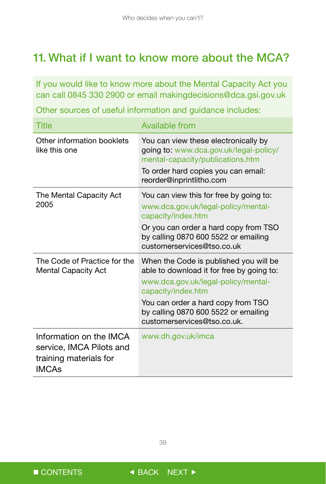# <span id="page-39-0"></span>11. What if I want to know more about the MCA?

If you would like to know more about the Mental Capacity Act you can call 0845 330 2900 or email makingdecisions@dca.gsi.gov.uk

Other sources of useful information and guidance includes:

| Title                                                                                         | <b>Available from</b>                                                                                                                            |  |
|-----------------------------------------------------------------------------------------------|--------------------------------------------------------------------------------------------------------------------------------------------------|--|
| Other information booklets<br>like this one                                                   | You can view these electronically by<br>going to: www.dca.gov.uk/legal-policy/<br>mental-capacity/publications.htm                               |  |
|                                                                                               | To order hard copies you can email:<br>reorder@inprintlitho.com                                                                                  |  |
| The Mental Capacity Act<br>2005                                                               | You can view this for free by going to:<br>www.dca.gov.uk/legal-policy/mental-<br>capacity/index.htm                                             |  |
|                                                                                               | Or you can order a hard copy from TSO<br>by calling 0870 600 5522 or emailing<br>customerservices@tso.co.uk                                      |  |
| The Code of Practice for the<br><b>Mental Capacity Act</b>                                    | When the Code is published you will be<br>able to download it for free by going to:<br>www.dca.gov.uk/legal-policy/mental-<br>capacity/index.htm |  |
|                                                                                               | You can order a hard copy from TSO<br>by calling 0870 600 5522 or emailing<br>customerservices@tso.co.uk.                                        |  |
| Information on the IMCA<br>service, IMCA Pilots and<br>training materials for<br><b>IMCAs</b> | www.dh.gov.uk/imca                                                                                                                               |  |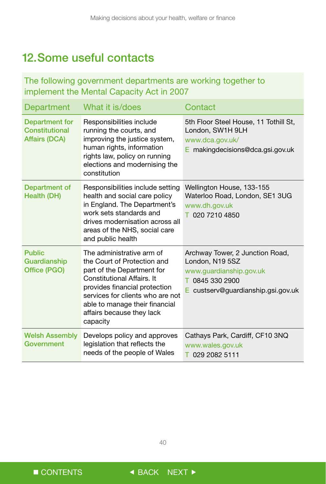# <span id="page-40-0"></span>12.Some useful contacts

### The following government departments are working together to implement the Mental Capacity Act in 2007

| <b>Department</b>                                               | What it is/does                                                                                                                                                                                                                                                      | Contact                                                                                                                                    |
|-----------------------------------------------------------------|----------------------------------------------------------------------------------------------------------------------------------------------------------------------------------------------------------------------------------------------------------------------|--------------------------------------------------------------------------------------------------------------------------------------------|
| <b>Department for</b><br>Constitutional<br><b>Affairs (DCA)</b> | Responsibilities include<br>running the courts, and<br>improving the justice system,<br>human rights, information<br>rights law, policy on running<br>elections and modernising the<br>constitution                                                                  | 5th Floor Steel House, 11 Tothill St,<br>London, SW1H 9LH<br>www.dca.gov.uk/<br>$E$ making decisions@dca.gsi.gov.uk                        |
| Department of<br>Health (DH)                                    | Responsibilities include setting<br>health and social care policy<br>in England. The Department's<br>work sets standards and<br>drives modernisation across all<br>areas of the NHS, social care<br>and public health                                                | Wellington House, 133-155<br>Waterloo Road, London, SE1 3UG<br>www.dh.gov.uk<br>T 020 7210 4850                                            |
| <b>Public</b><br>Guardianship<br>Office (PGO)                   | The administrative arm of<br>the Court of Protection and<br>part of the Department for<br>Constitutional Affairs. It<br>provides financial protection<br>services for clients who are not<br>able to manage their financial<br>affairs because they lack<br>capacity | Archway Tower, 2 Junction Road,<br>London, N19 5SZ<br>www.quardianship.gov.uk<br>T 0845 330 2900<br>custserv@guardianship.gsi.gov.uk<br>Е. |
| <b>Welsh Assembly</b><br>Government                             | Develops policy and approves<br>legislation that reflects the<br>needs of the people of Wales                                                                                                                                                                        | Cathays Park, Cardiff, CF10 3NQ<br>www.wales.gov.uk<br>T 029 2082 5111                                                                     |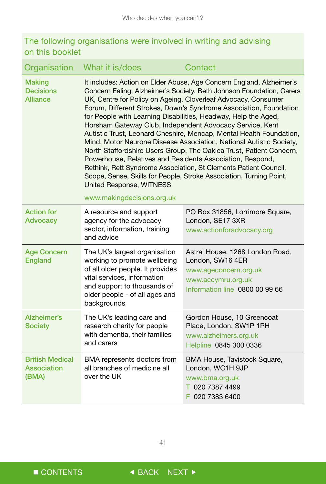## The following organisations were involved in writing and advising on this booklet

| Organisation                                         | What it is/does                                                                                                                                                                                                                                                                                                                                                                                                                                                                                                                                                                                                                                                                                                                                                                                                                                                                                          | Contact                                                                                                                              |
|------------------------------------------------------|----------------------------------------------------------------------------------------------------------------------------------------------------------------------------------------------------------------------------------------------------------------------------------------------------------------------------------------------------------------------------------------------------------------------------------------------------------------------------------------------------------------------------------------------------------------------------------------------------------------------------------------------------------------------------------------------------------------------------------------------------------------------------------------------------------------------------------------------------------------------------------------------------------|--------------------------------------------------------------------------------------------------------------------------------------|
| <b>Making</b><br><b>Decisions</b><br><b>Alliance</b> | It includes: Action on Elder Abuse, Age Concern England, Alzheimer's<br>Concern Ealing, Alzheimer's Society, Beth Johnson Foundation, Carers<br>UK, Centre for Policy on Ageing, Cloverleaf Advocacy, Consumer<br>Forum, Different Strokes, Down's Syndrome Association, Foundation<br>for People with Learning Disabilities, Headway, Help the Aged,<br>Horsham Gateway Club, Independent Advocacy Service, Kent<br>Autistic Trust, Leonard Cheshire, Mencap, Mental Health Foundation,<br>Mind, Motor Neurone Disease Association, National Autistic Society,<br>North Staffordshire Users Group, The Oaklea Trust, Patient Concern,<br>Powerhouse, Relatives and Residents Association, Respond,<br>Rethink, Rett Syndrome Association, St Clements Patient Council,<br>Scope, Sense, Skills for People, Stroke Association, Turning Point,<br>United Response, WITNESS<br>www.makingdecisions.org.uk |                                                                                                                                      |
| <b>Action for</b><br><b>Advocacy</b>                 | A resource and support<br>agency for the advocacy<br>sector, information, training<br>and advice                                                                                                                                                                                                                                                                                                                                                                                                                                                                                                                                                                                                                                                                                                                                                                                                         | PO Box 31856, Lorrimore Square,<br>London, SE17 3XR<br>www.actionforadvocacy.org                                                     |
| <b>Age Concern</b><br><b>England</b>                 | The UK's largest organisation<br>working to promote wellbeing<br>of all older people. It provides<br>vital services, information<br>and support to thousands of<br>older people - of all ages and<br>backgrounds                                                                                                                                                                                                                                                                                                                                                                                                                                                                                                                                                                                                                                                                                         | Astral House, 1268 London Road,<br>London, SW16 4ER<br>www.ageconcern.org.uk<br>www.accymru.org.uk<br>Information line 0800 00 99 66 |
| Alzheimer's<br><b>Society</b>                        | The UK's leading care and<br>research charity for people<br>with dementia, their families<br>and carers                                                                                                                                                                                                                                                                                                                                                                                                                                                                                                                                                                                                                                                                                                                                                                                                  | Gordon House, 10 Greencoat<br>Place, London, SW1P 1PH<br>www.alzheimers.org.uk<br>Helpline 0845 300 0336                             |
| <b>British Medical</b><br>Association<br>(BMA)       | BMA represents doctors from<br>all branches of medicine all<br>over the UK                                                                                                                                                                                                                                                                                                                                                                                                                                                                                                                                                                                                                                                                                                                                                                                                                               | BMA House, Tavistock Square,<br>London, WC1H 9JP<br>www.bma.org.uk<br>T 020 7387 4499<br>F 020 7383 6400                             |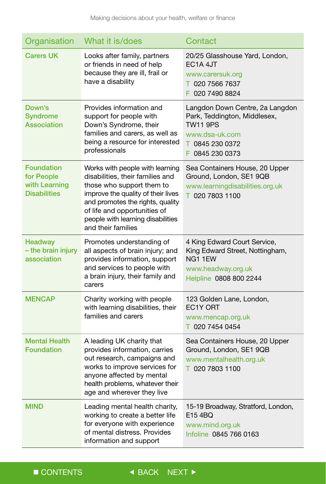| Organisation                                                            | What it is/does                                                                                                                                                                                                                                                       | Contact                                                                                                                                    |
|-------------------------------------------------------------------------|-----------------------------------------------------------------------------------------------------------------------------------------------------------------------------------------------------------------------------------------------------------------------|--------------------------------------------------------------------------------------------------------------------------------------------|
| <b>Carers UK</b>                                                        | Looks after family, partners<br>or friends in need of help<br>because they are ill, frail or<br>have a disability                                                                                                                                                     | 20/25 Glasshouse Yard, London,<br>EC1A 4JT<br>www.carersuk.org<br>T 020 7566 7637<br>F 020 7490 8824                                       |
| Down's<br><b>Syndrome</b><br>Association                                | Provides information and<br>support for people with<br>Down's Syndrome, their<br>families and carers, as well as<br>being a resource for interested<br>professionals                                                                                                  | Langdon Down Centre, 2a Langdon<br>Park, Teddington, Middlesex,<br><b>TW11 9PS</b><br>www.dsa-uk.com<br>T 0845 230 0372<br>F 0845 230 0373 |
| <b>Foundation</b><br>for People<br>with Learning<br><b>Disabilities</b> | Works with people with learning<br>disabilities, their families and<br>those who support them to<br>improve the quality of their lives<br>and promotes the rights, quality<br>of life and opportunities of<br>people with learning disabilities<br>and their families | Sea Containers House, 20 Upper<br>Ground, London, SE1 9QB<br>www.learningdisabilities.org.uk<br>T 020 7803 1100                            |
| <b>Headway</b><br>- the brain injury<br>association                     | Promotes understanding of<br>all aspects of brain injury; and<br>provides information, support<br>and services to people with<br>a brain injury, their family and<br>carers                                                                                           | 4 King Edward Court Service,<br>King Edward Street, Nottingham,<br>NG1 1EW<br>www.headway.org.uk<br>Helpline 0808 800 2244                 |
| <b>MENCAP</b>                                                           | Charity working with people<br>with learning disabilities, their<br>families and carers                                                                                                                                                                               | 123 Golden Lane, London,<br>EC1Y ORT<br>www.mencap.org.uk<br>T 020 7454 0454                                                               |
| <b>Mental Health</b><br><b>Foundation</b>                               | A leading UK charity that<br>provides information, carries<br>out research, campaigns and<br>works to improve services for<br>anyone affected by mental<br>health problems, whatever their<br>age and wherever they live                                              | Sea Containers House, 20 Upper<br>Ground, London, SE1 9QB<br>www.mentalhealth.org.uk<br>T 020 7803 1100                                    |
| <b>MIND</b>                                                             | Leading mental health charity,<br>working to create a better life<br>for everyone with experience<br>of mental distress. Provides<br>information and support                                                                                                          | 15-19 Broadway, Stratford, London,<br>E154BQ<br>www.mind.org.uk<br>Infoline 0845 766 0163                                                  |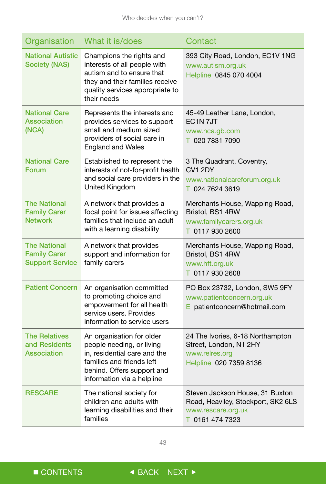| Organisation                                                         | What it is/does                                                                                                                                                                 | Contact                                                                                                        |
|----------------------------------------------------------------------|---------------------------------------------------------------------------------------------------------------------------------------------------------------------------------|----------------------------------------------------------------------------------------------------------------|
| <b>National Autistic</b><br><b>Society (NAS)</b>                     | Champions the rights and<br>interests of all people with<br>autism and to ensure that<br>they and their families receive<br>quality services appropriate to<br>their needs      | 393 City Road, London, EC1V 1NG<br>www.autism.org.uk<br>Helpline 0845 070 4004                                 |
| <b>National Care</b><br><b>Association</b><br>(NCA)                  | Represents the interests and<br>provides services to support<br>small and medium sized<br>providers of social care in<br><b>England and Wales</b>                               | 45-49 Leather Lane, London,<br>EC <sub>1</sub> N <sub>7J</sub> T<br>www.nca.gb.com<br>T 020 7831 7090          |
| <b>National Care</b><br>Forum                                        | Established to represent the<br>interests of not-for-profit health<br>and social care providers in the<br>United Kingdom                                                        | 3 The Quadrant, Coventry,<br>CV <sub>1</sub> 2DY<br>www.nationalcareforum.org.uk<br>T 024 7624 3619            |
| <b>The National</b><br><b>Family Carer</b><br><b>Network</b>         | A network that provides a<br>focal point for issues affecting<br>families that include an adult<br>with a learning disability                                                   | Merchants House, Wapping Road,<br>Bristol, BS1 4RW<br>www.familycarers.org.uk<br>T 0117 930 2600               |
| <b>The National</b><br><b>Family Carer</b><br><b>Support Service</b> | A network that provides<br>support and information for<br>family carers                                                                                                         | Merchants House, Wapping Road,<br>Bristol, BS1 4RW<br>www.hft.org.uk<br>T 0117 930 2608                        |
| <b>Patient Concern</b>                                               | An organisation committed<br>to promoting choice and<br>empowerment for all health<br>service users. Provides<br>information to service users                                   | PO Box 23732, London, SW5 9FY<br>www.patientconcern.org.uk<br>E patientconcern@hotmail.com                     |
| <b>The Relatives</b><br>and Residents<br><b>Association</b>          | An organisation for older<br>people needing, or living<br>in, residential care and the<br>families and friends left<br>behind. Offers support and<br>information via a helpline | 24 The Ivories, 6-18 Northampton<br>Street, London, N1 2HY<br>www.relres.org<br>Helpline 020 7359 8136         |
| <b>RESCARE</b>                                                       | The national society for<br>children and adults with<br>learning disabilities and their<br>families                                                                             | Steven Jackson House, 31 Buxton<br>Road, Heaviley, Stockport, SK2 6LS<br>www.rescare.org.uk<br>T 0161 474 7323 |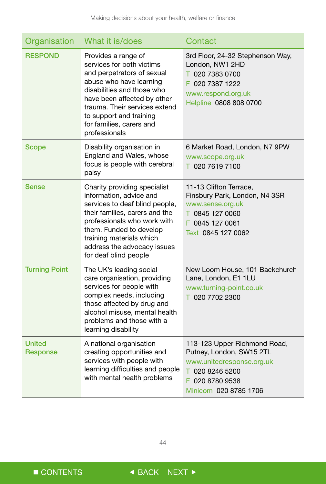| Organisation                     | What it is/does                                                                                                                                                                                                                                                                 | Contact                                                                                                                                              |
|----------------------------------|---------------------------------------------------------------------------------------------------------------------------------------------------------------------------------------------------------------------------------------------------------------------------------|------------------------------------------------------------------------------------------------------------------------------------------------------|
| <b>RESPOND</b>                   | Provides a range of<br>services for both victims<br>and perpetrators of sexual<br>abuse who have learning<br>disabilities and those who<br>have been affected by other<br>trauma. Their services extend<br>to support and training<br>for families, carers and<br>professionals | 3rd Floor, 24-32 Stephenson Way,<br>London, NW1 2HD<br>T 020 7383 0700<br>F 020 7387 1222<br>www.respond.org.uk<br>Helpline 0808 808 0700            |
| <b>Scope</b>                     | Disability organisation in<br>England and Wales, whose<br>focus is people with cerebral<br>palsy                                                                                                                                                                                | 6 Market Road, London, N7 9PW<br>www.scope.org.uk<br>T 020 7619 7100                                                                                 |
| <b>Sense</b>                     | Charity providing specialist<br>information, advice and<br>services to deaf blind people,<br>their families, carers and the<br>professionals who work with<br>them. Funded to develop<br>training materials which<br>address the advocacy issues<br>for deaf blind people       | 11-13 Clifton Terrace,<br>Finsbury Park, London, N4 3SR<br>www.sense.org.uk<br>T 0845 127 0060<br>F 0845 127 0061<br>Text 0845 127 0062              |
| <b>Turning Point</b>             | The UK's leading social<br>care organisation, providing<br>services for people with<br>complex needs, including<br>those affected by drug and<br>alcohol misuse, mental health<br>problems and those with a<br>learning disability                                              | New Loom House, 101 Backchurch<br>Lane, London, E1 1LU<br>www.turning-point.co.uk<br>T 020 7702 2300                                                 |
| <b>United</b><br><b>Response</b> | A national organisation<br>creating opportunities and<br>services with people with<br>learning difficulties and people<br>with mental health problems                                                                                                                           | 113-123 Upper Richmond Road,<br>Putney, London, SW15 2TL<br>www.unitedresponse.org.uk<br>T 020 8246 5200<br>F 020 8780 9538<br>Minicom 020 8785 1706 |